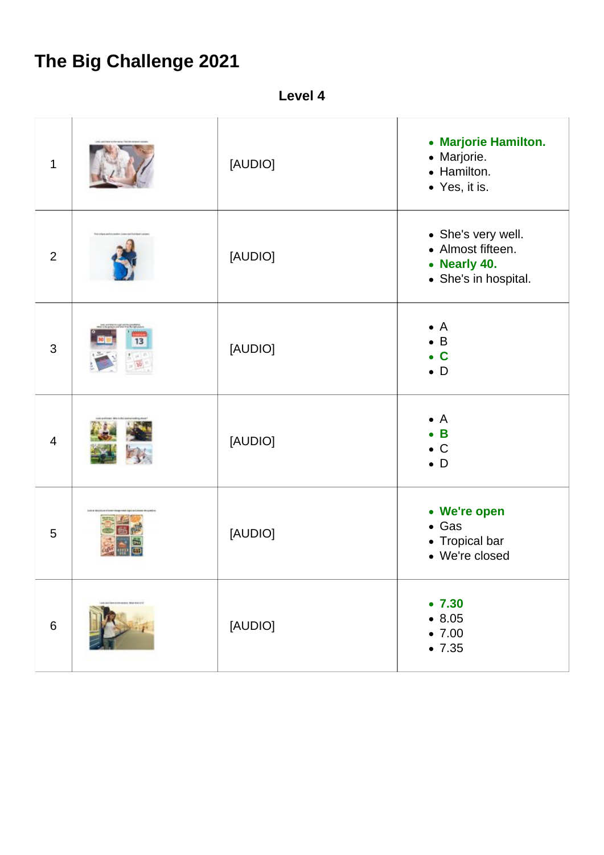## **The Big Challenge 2021**

**Level 4**

| $\mathbf 1$    |                                | [AUDIO] | • Marjorie Hamilton.<br>• Marjorie.<br>• Hamilton.<br>• Yes, it is.             |
|----------------|--------------------------------|---------|---------------------------------------------------------------------------------|
| $\overline{2}$ |                                | [AUDIO] | • She's very well.<br>• Almost fifteen.<br>• Nearly 40.<br>• She's in hospital. |
| 3              | 13                             | [AUDIO] | $\bullet$ A<br>$\bullet$ B<br>$\bullet$ C<br>$\bullet$ D                        |
| $\overline{4}$ |                                | [AUDIO] | $\bullet$ A<br>$\bullet$ B<br>$\bullet$ C<br>$\bullet$ D                        |
| 5              |                                | [AUDIO] | • We're open<br>$\bullet$ Gas<br>• Tropical bar<br>• We're closed               |
| $\,6\,$        | International Majority of Kill | [AUDIO] | •7.30<br>• 8.05<br>•7.00<br>•7.35                                               |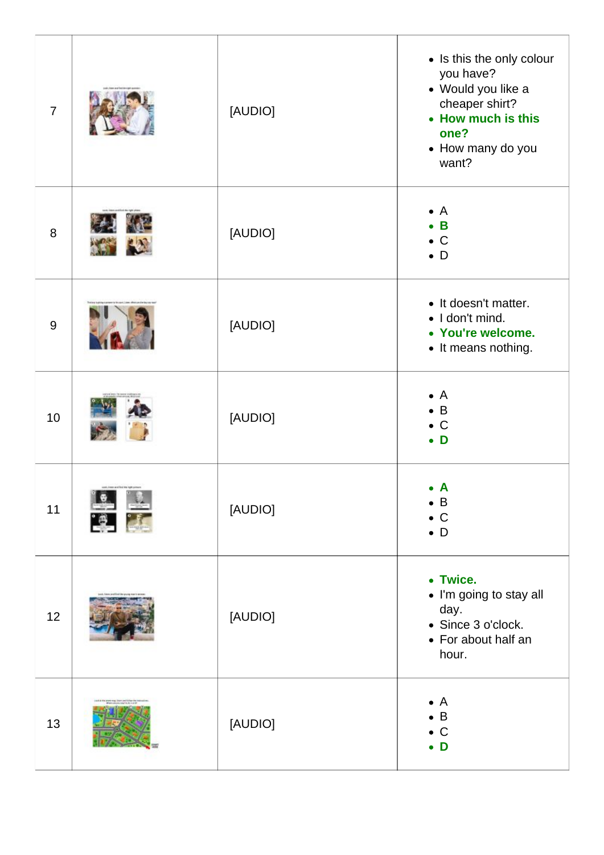| $\overline{7}$ |                                        | [AUDIO] | • Is this the only colour<br>you have?<br>• Would you like a<br>cheaper shirt?<br>• How much is this<br>one?<br>• How many do you<br>want? |
|----------------|----------------------------------------|---------|--------------------------------------------------------------------------------------------------------------------------------------------|
| 8              |                                        | [AUDIO] | $\bullet$ A<br>$\bullet$ B<br>$\bullet$ C<br>$\bullet$ D                                                                                   |
| 9              |                                        | [AUDIO] | • It doesn't matter.<br>· I don't mind.<br>• You're welcome.<br>• It means nothing.                                                        |
| 10             |                                        | [AUDIO] | $\bullet$ A<br>$\bullet$ B<br>$\bullet$ C<br>$\bullet$ D                                                                                   |
| 11             | said, interactive its represent<br>res | [AUDIO] | $\bullet$ A<br>$\bullet$ B<br>$\bullet$ C<br>$\bullet$ D                                                                                   |
| 12             |                                        | [AUDIO] | • Twice.<br>• I'm going to stay all<br>day.<br>• Since 3 o'clock.<br>• For about half an<br>hour.                                          |
| 13             |                                        | [AUDIO] | $\mathsf{A}$<br>$\bullet$<br>B<br>$\bullet$ C<br>$\bullet$ D                                                                               |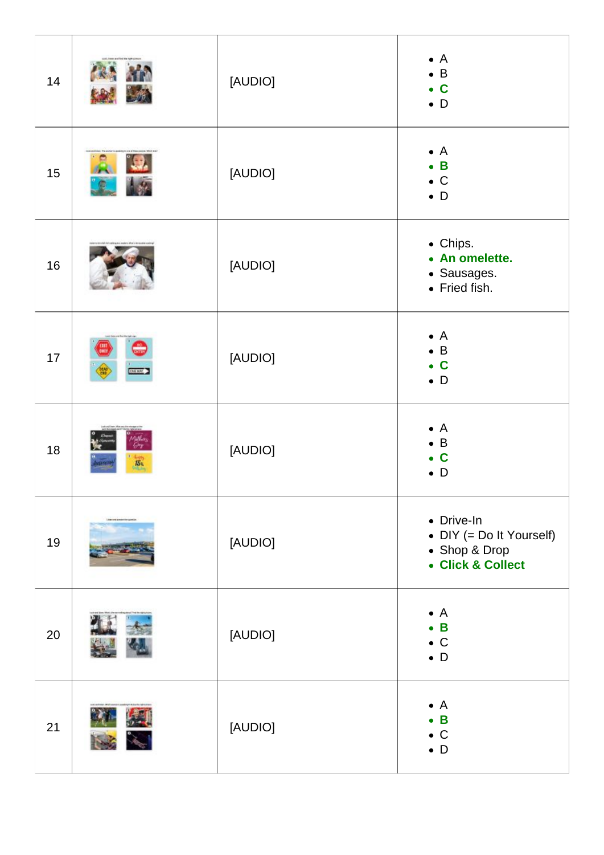| 14 |                 | [AUDIO] | $\bullet$ A<br>$\bullet$ B<br>$\bullet$ C<br>$\bullet$ D                     |
|----|-----------------|---------|------------------------------------------------------------------------------|
| 15 |                 | [AUDIO] | $\bullet$ A<br>$\bullet$ B<br>$\bullet$ C<br>$\bullet$ D                     |
| 16 |                 | [AUDIO] | • Chips.<br>• An omelette.<br>· Sausages.<br>• Fried fish.                   |
| 17 | <b>44 NV</b>    | [AUDIO] | $\bullet$ A<br>$\bullet$ B<br>$\bullet$ C<br>$\bullet$ D                     |
| 18 | $\overline{15}$ | [AUDIO] | $\bullet$ A<br>B<br>$\bullet$<br>$\mathbf C$<br>$\bullet$<br>$\bullet$ D     |
| 19 |                 | [AUDIO] | • Drive-In<br>• DIY (= Do It Yourself)<br>• Shop & Drop<br>• Click & Collect |
| 20 |                 | [AUDIO] | $\bullet$ A<br>$\bullet$ B<br>$\bullet$ C<br>$\bullet$ D                     |
| 21 |                 | [AUDIO] | $\bullet$ A<br>$\mathbf B$<br>$\bullet$<br>$\bullet$ C<br>$\bullet$ D        |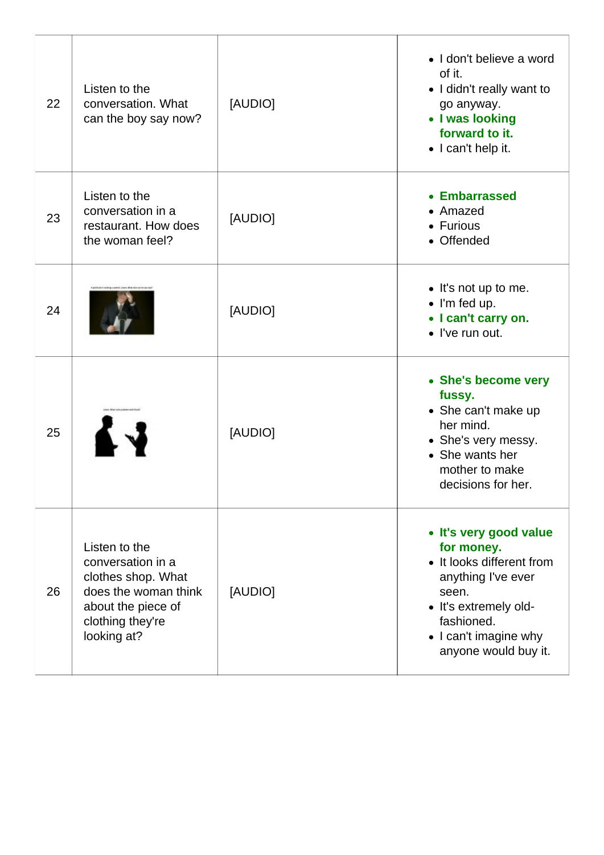| 22 | Listen to the<br>conversation. What<br>can the boy say now?                                                                               | [AUDIO] | • I don't believe a word<br>of it.<br>• I didn't really want to<br>go anyway.<br>• I was looking<br>forward to it.<br>• I can't help it.                                                 |
|----|-------------------------------------------------------------------------------------------------------------------------------------------|---------|------------------------------------------------------------------------------------------------------------------------------------------------------------------------------------------|
| 23 | Listen to the<br>conversation in a<br>restaurant. How does<br>the woman feel?                                                             | [AUDIO] | • Embarrassed<br>• Amazed<br>• Furious<br>• Offended                                                                                                                                     |
| 24 |                                                                                                                                           | [AUDIO] | • It's not up to me.<br>$\bullet$ I'm fed up.<br>• I can't carry on.<br>• I've run out.                                                                                                  |
| 25 |                                                                                                                                           | [AUDIO] | • She's become very<br>fussy.<br>• She can't make up<br>her mind.<br>• She's very messy.<br>• She wants her<br>mother to make<br>decisions for her.                                      |
| 26 | Listen to the<br>conversation in a<br>clothes shop. What<br>does the woman think<br>about the piece of<br>clothing they're<br>looking at? | [AUDIO] | • It's very good value<br>for money.<br>• It looks different from<br>anything I've ever<br>seen.<br>• It's extremely old-<br>fashioned.<br>• I can't imagine why<br>anyone would buy it. |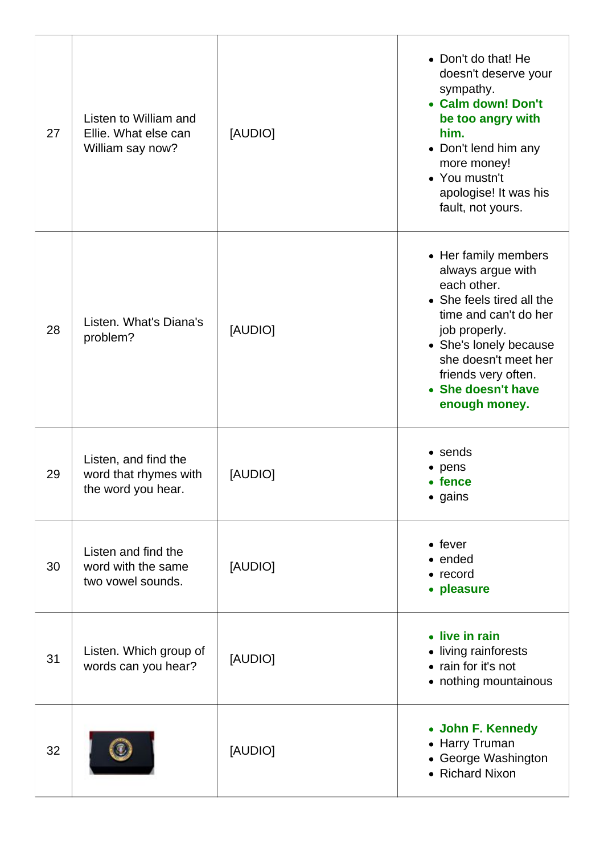| 27 | Listen to William and<br>Ellie. What else can<br>William say now?   | [AUDIO] | • Don't do that! He<br>doesn't deserve your<br>sympathy.<br>• Calm down! Don't<br>be too angry with<br>him.<br>• Don't lend him any<br>more money!<br>• You mustn't<br>apologise! It was his<br>fault, not yours.                               |
|----|---------------------------------------------------------------------|---------|-------------------------------------------------------------------------------------------------------------------------------------------------------------------------------------------------------------------------------------------------|
| 28 | Listen. What's Diana's<br>problem?                                  | [AUDIO] | • Her family members<br>always argue with<br>each other.<br>• She feels tired all the<br>time and can't do her<br>job properly.<br>• She's lonely because<br>she doesn't meet her<br>friends very often.<br>• She doesn't have<br>enough money. |
| 29 | Listen, and find the<br>word that rhymes with<br>the word you hear. | [AUDIO] | • sends<br>• pens<br>• fence<br>• gains                                                                                                                                                                                                         |
| 30 | Listen and find the<br>word with the same<br>two vowel sounds.      | [AUDIO] | $\bullet$ fever<br>• ended<br>$\bullet$ record<br>• pleasure                                                                                                                                                                                    |
| 31 | Listen. Which group of<br>words can you hear?                       | [AUDIO] | • live in rain<br>• living rainforests<br>• rain for it's not<br>• nothing mountainous                                                                                                                                                          |
| 32 |                                                                     | [AUDIO] | • John F. Kennedy<br>• Harry Truman<br>• George Washington<br>• Richard Nixon                                                                                                                                                                   |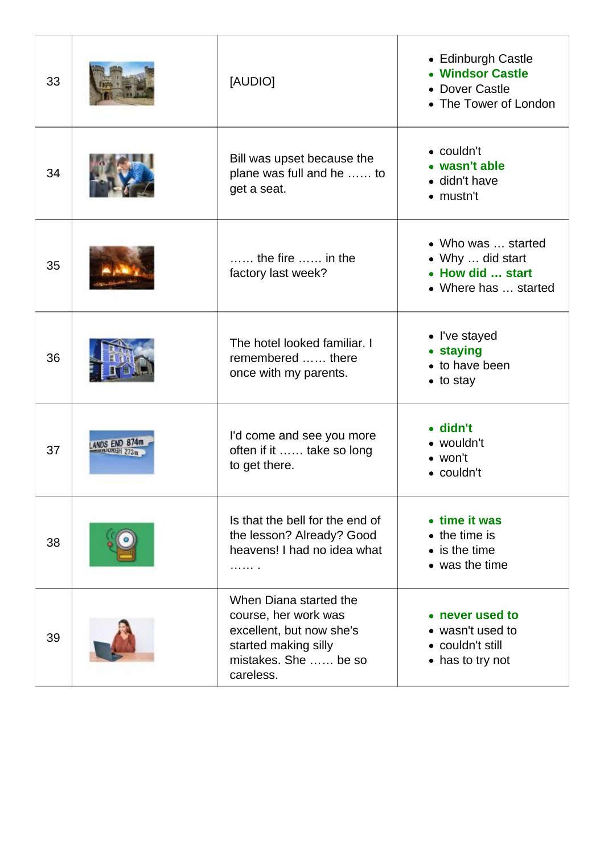| 33 |           | [AUDIO]                                                                                                                                 | • Edinburgh Castle<br>• Windsor Castle<br>• Dover Castle<br>• The Tower of London  |
|----|-----------|-----------------------------------------------------------------------------------------------------------------------------------------|------------------------------------------------------------------------------------|
| 34 |           | Bill was upset because the<br>plane was full and he  to<br>get a seat.                                                                  | $\bullet$ couldn't<br>• wasn't able<br>• didn't have<br>$\bullet$ mustn't          |
| 35 |           | $\ldots$ , the fire $\ldots$ , in the<br>factory last week?                                                                             | • Who was  started<br>• Why  did start<br>• How did  start<br>• Where has  started |
| 36 |           | The hotel looked familiar. I<br>remembered  there<br>once with my parents.                                                              | • I've stayed<br>• staying<br>• to have been<br>$\bullet$ to stay                  |
| 37 | DS END 87 | I'd come and see you more<br>often if it  take so long<br>to get there.                                                                 | $\bullet$ didn't<br>• wouldn't<br>$\bullet$ won't<br>• couldn't                    |
| 38 |           | Is that the bell for the end of<br>the lesson? Already? Good<br>heavens! I had no idea what<br>.                                        | • time it was<br>$\bullet$ the time is<br>$\bullet$ is the time<br>• was the time  |
| 39 |           | When Diana started the<br>course, her work was<br>excellent, but now she's<br>started making silly<br>mistakes. She  be so<br>careless. | • never used to<br>• wasn't used to<br>• couldn't still<br>• has to try not        |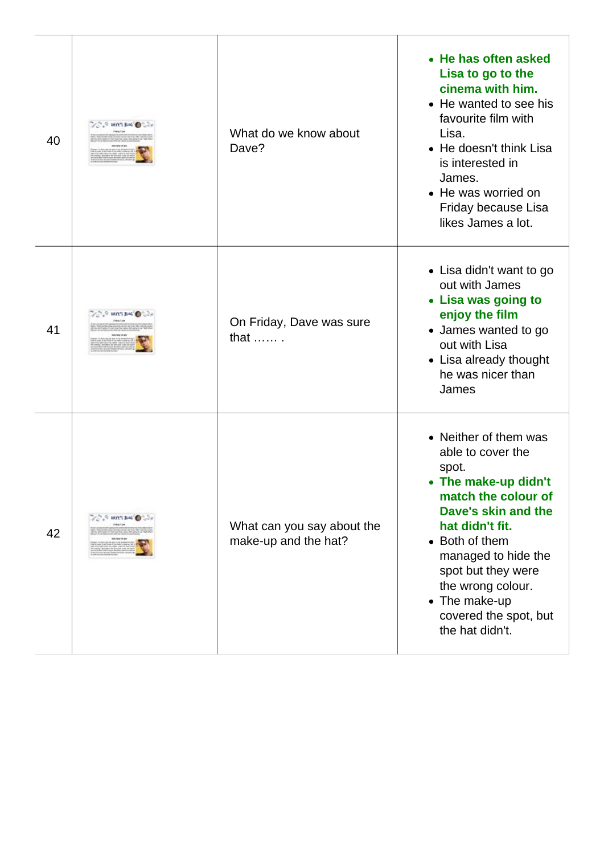| 40 | <b>DAVES BLAG</b>          | What do we know about<br>Dave?                     | • He has often asked<br>Lisa to go to the<br>cinema with him.<br>• He wanted to see his<br>favourite film with<br>Lisa.<br>• He doesn't think Lisa<br>is interested in<br>James.<br>• He was worried on<br>Friday because Lisa<br>likes James a lot.                                          |
|----|----------------------------|----------------------------------------------------|-----------------------------------------------------------------------------------------------------------------------------------------------------------------------------------------------------------------------------------------------------------------------------------------------|
| 41 |                            | On Friday, Dave was sure<br>that $\dots$           | • Lisa didn't want to go<br>out with James<br>• Lisa was going to<br>enjoy the film<br>• James wanted to go<br>out with Lisa<br>• Lisa already thought<br>he was nicer than<br>James                                                                                                          |
| 42 | $\sim 0.5$ and rate $\sim$ | What can you say about the<br>make-up and the hat? | • Neither of them was<br>able to cover the<br>spot.<br>• The make-up didn't<br>match the colour of<br>Dave's skin and the<br>hat didn't fit.<br>• Both of them<br>managed to hide the<br>spot but they were<br>the wrong colour.<br>• The make-up<br>covered the spot, but<br>the hat didn't. |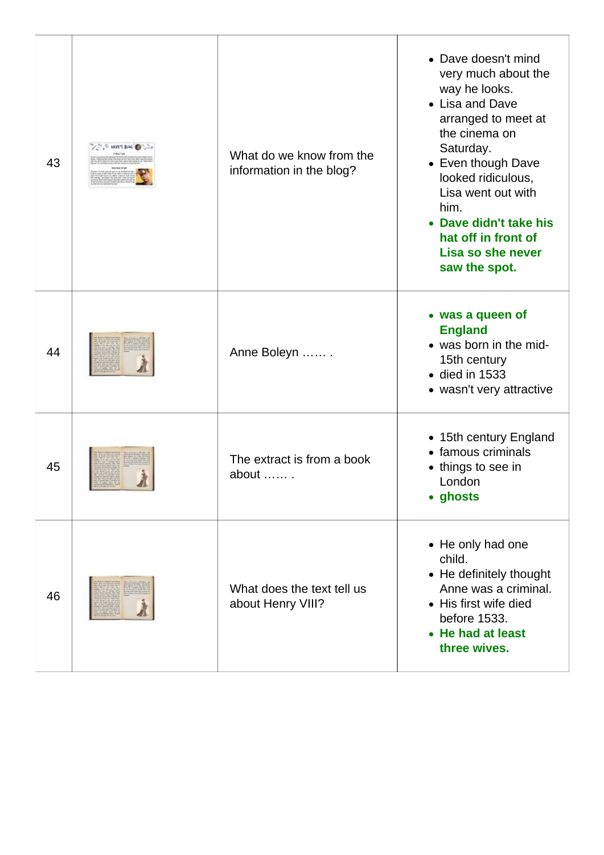| 43 | What do we know from the<br>information in the blog? | • Dave doesn't mind<br>very much about the<br>way he looks.<br>• Lisa and Dave<br>arranged to meet at<br>the cinema on<br>Saturday.<br>• Even though Dave<br>looked ridiculous,<br>Lisa went out with<br>him.<br>• Dave didn't take his<br>hat off in front of<br>Lisa so she never<br>saw the spot. |
|----|------------------------------------------------------|------------------------------------------------------------------------------------------------------------------------------------------------------------------------------------------------------------------------------------------------------------------------------------------------------|
| 44 | Anne Boleyn                                          | • was a queen of<br><b>England</b><br>• was born in the mid-<br>15th century<br>$\bullet$ died in 1533<br>• wasn't very attractive                                                                                                                                                                   |
| 45 | The extract is from a book<br>about                  | • 15th century England<br>• famous criminals<br>• things to see in<br>London<br>• ghosts                                                                                                                                                                                                             |
| 46 | What does the text tell us<br>about Henry VIII?      | • He only had one<br>child.<br>• He definitely thought<br>Anne was a criminal.<br>• His first wife died<br>before 1533.<br>• He had at least<br>three wives.                                                                                                                                         |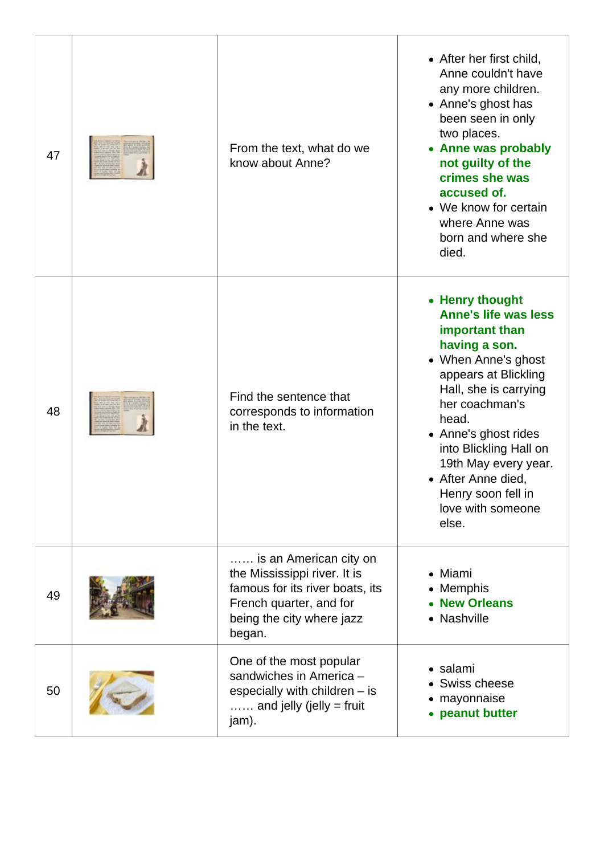| 47 | From the text, what do we<br>know about Anne?                                                                                                               | • After her first child,<br>Anne couldn't have<br>any more children.<br>• Anne's ghost has<br>been seen in only<br>two places.<br>• Anne was probably<br>not guilty of the<br>crimes she was<br>accused of.<br>• We know for certain<br>where Anne was<br>born and where she<br>died.                                                    |
|----|-------------------------------------------------------------------------------------------------------------------------------------------------------------|------------------------------------------------------------------------------------------------------------------------------------------------------------------------------------------------------------------------------------------------------------------------------------------------------------------------------------------|
| 48 | Find the sentence that<br>corresponds to information<br>in the text.                                                                                        | • Henry thought<br><b>Anne's life was less</b><br>important than<br>having a son.<br>• When Anne's ghost<br>appears at Blickling<br>Hall, she is carrying<br>her coachman's<br>head.<br>• Anne's ghost rides<br>into Blickling Hall on<br>19th May every year.<br>• After Anne died,<br>Henry soon fell in<br>love with someone<br>else. |
| 49 | is an American city on<br>the Mississippi river. It is<br>famous for its river boats, its<br>French quarter, and for<br>being the city where jazz<br>began. | • Miami<br><b>Memphis</b><br><b>New Orleans</b><br>Nashville<br>$\bullet$                                                                                                                                                                                                                                                                |
| 50 | One of the most popular<br>sandwiches in America -<br>especially with children - is<br>$\ldots$ and jelly (jelly = fruit<br>jam).                           | • salami<br>Swiss cheese<br>mayonnaise<br>peanut butter<br>$\bullet$                                                                                                                                                                                                                                                                     |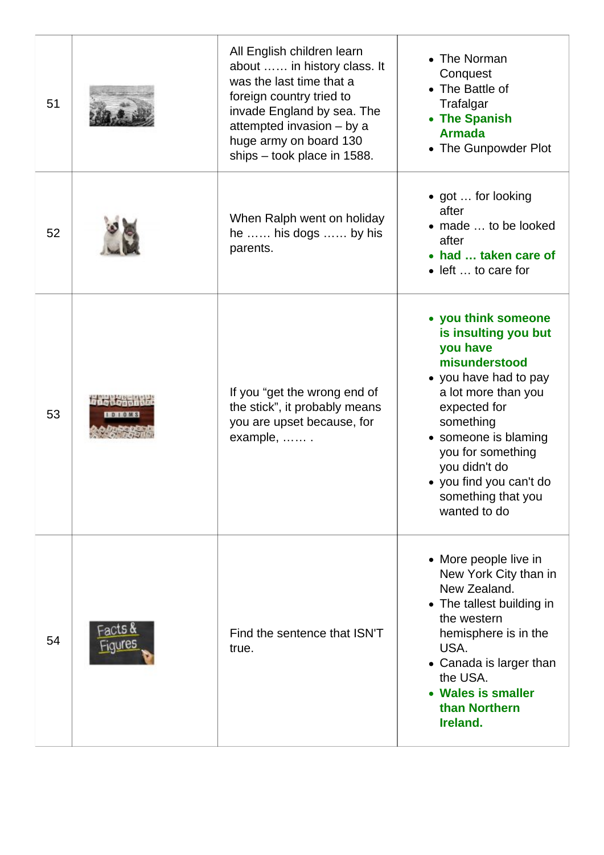| 51 |                                       | All English children learn<br>about  in history class. It<br>was the last time that a<br>foreign country tried to<br>invade England by sea. The<br>attempted invasion - by a<br>huge army on board 130<br>ships – took place in 1588. | • The Norman<br>Conquest<br>• The Battle of<br>Trafalgar<br>• The Spanish<br><b>Armada</b><br>• The Gunpowder Plot                                                                                                                                                                   |
|----|---------------------------------------|---------------------------------------------------------------------------------------------------------------------------------------------------------------------------------------------------------------------------------------|--------------------------------------------------------------------------------------------------------------------------------------------------------------------------------------------------------------------------------------------------------------------------------------|
| 52 |                                       | When Ralph went on holiday<br>he  his dogs  by his<br>parents.                                                                                                                                                                        | • got  for looking<br>after<br>• made  to be looked<br>after<br>• had  taken care of<br>• left  to care for                                                                                                                                                                          |
| 53 | <b>DOM ADRO</b><br><b>IDIONS</b>      | If you "get the wrong end of<br>the stick", it probably means<br>you are upset because, for<br>example,                                                                                                                               | • you think someone<br>is insulting you but<br>you have<br>misunderstood<br>• you have had to pay<br>a lot more than you<br>expected for<br>something<br>• someone is blaming<br>you for something<br>you didn't do<br>• you find you can't do<br>something that you<br>wanted to do |
| 54 | Fact <b>s &amp;</b><br><u>Figures</u> | Find the sentence that ISN'T<br>true.                                                                                                                                                                                                 | • More people live in<br>New York City than in<br>New Zealand.<br>• The tallest building in<br>the western<br>hemisphere is in the<br>USA.<br>• Canada is larger than<br>the USA.<br>• Wales is smaller<br>than Northern<br>Ireland.                                                 |